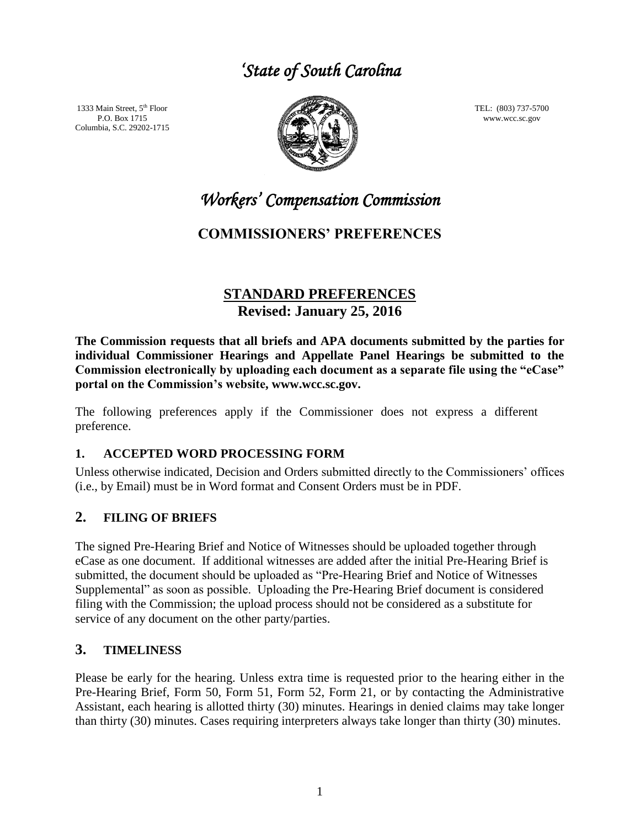# *'State of South Carolina*

1333 Main Street, 5<sup>th</sup> Floor P.O. Box 1715 Columbia, S.C. 29202-1715



TEL: (803) 737-5700 www.wcc.sc.gov

*Workers' Compensation Commission* 

# **COMMISSIONERS' PREFERENCES**

# **STANDARD PREFERENCES Revised: January 25, 2016**

**The Commission requests that all briefs and APA documents submitted by the parties for individual Commissioner Hearings and Appellate Panel Hearings be submitted to the Commission electronically by uploading each document as a separate file using the "eCase" portal on the Commission's website, www.wcc.sc.gov.** 

The following preferences apply if the Commissioner does not express a different preference.

#### **1. ACCEPTED WORD PROCESSING FORM**

Unless otherwise indicated, Decision and Orders submitted directly to the Commissioners' offices (i.e., by Email) must be in Word format and Consent Orders must be in PDF.

## **2. FILING OF BRIEFS**

The signed Pre-Hearing Brief and Notice of Witnesses should be uploaded together through eCase as one document. If additional witnesses are added after the initial Pre-Hearing Brief is submitted, the document should be uploaded as "Pre-Hearing Brief and Notice of Witnesses Supplemental" as soon as possible. Uploading the Pre-Hearing Brief document is considered filing with the Commission; the upload process should not be considered as a substitute for service of any document on the other party/parties.

## **3. TIMELINESS**

Please be early for the hearing. Unless extra time is requested prior to the hearing either in the Pre-Hearing Brief, Form 50, Form 51, Form 52, Form 21, or by contacting the Administrative Assistant, each hearing is allotted thirty (30) minutes. Hearings in denied claims may take longer than thirty (30) minutes. Cases requiring interpreters always take longer than thirty (30) minutes.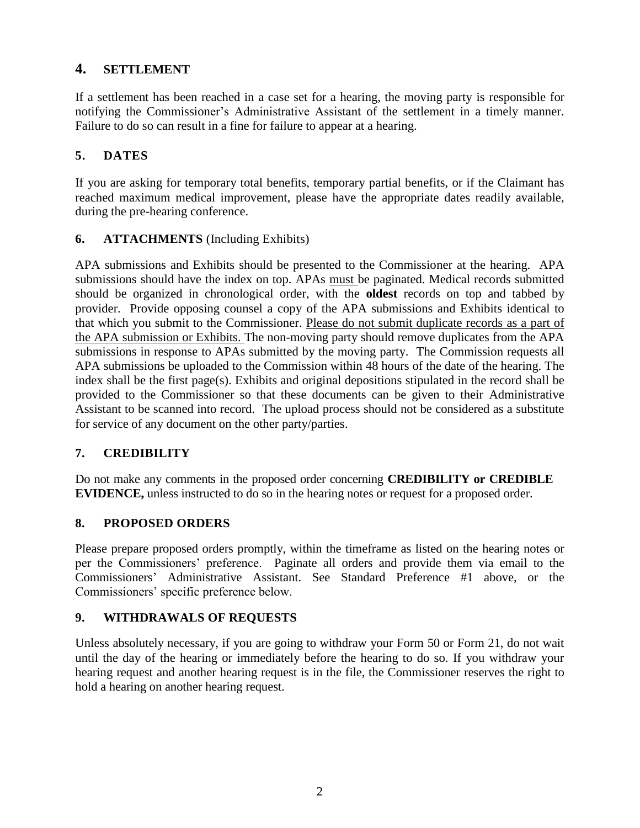### **4. SETTLEMENT**

If a settlement has been reached in a case set for a hearing, the moving party is responsible for notifying the Commissioner's Administrative Assistant of the settlement in a timely manner. Failure to do so can result in a fine for failure to appear at a hearing.

#### **5. DATES**

If you are asking for temporary total benefits, temporary partial benefits, or if the Claimant has reached maximum medical improvement, please have the appropriate dates readily available, during the pre-hearing conference.

#### **6. ATTACHMENTS** (Including Exhibits)

APA submissions and Exhibits should be presented to the Commissioner at the hearing. APA submissions should have the index on top. APAs must be paginated. Medical records submitted should be organized in chronological order, with the **oldest** records on top and tabbed by provider. Provide opposing counsel a copy of the APA submissions and Exhibits identical to that which you submit to the Commissioner. Please do not submit duplicate records as a part of the APA submission or Exhibits. The non-moving party should remove duplicates from the APA submissions in response to APAs submitted by the moving party. The Commission requests all APA submissions be uploaded to the Commission within 48 hours of the date of the hearing. The index shall be the first page(s). Exhibits and original depositions stipulated in the record shall be provided to the Commissioner so that these documents can be given to their Administrative Assistant to be scanned into record. The upload process should not be considered as a substitute for service of any document on the other party/parties.

#### **7. CREDIBILITY**

Do not make any comments in the proposed order concerning **CREDIBILITY or CREDIBLE EVIDENCE,** unless instructed to do so in the hearing notes or request for a proposed order.

#### **8. PROPOSED ORDERS**

Please prepare proposed orders promptly, within the timeframe as listed on the hearing notes or per the Commissioners' preference. Paginate all orders and provide them via email to the Commissioners' Administrative Assistant. See Standard Preference #1 above, or the Commissioners' specific preference below.

#### **9. WITHDRAWALS OF REQUESTS**

Unless absolutely necessary, if you are going to withdraw your Form 50 or Form 21, do not wait until the day of the hearing or immediately before the hearing to do so. If you withdraw your hearing request and another hearing request is in the file, the Commissioner reserves the right to hold a hearing on another hearing request.